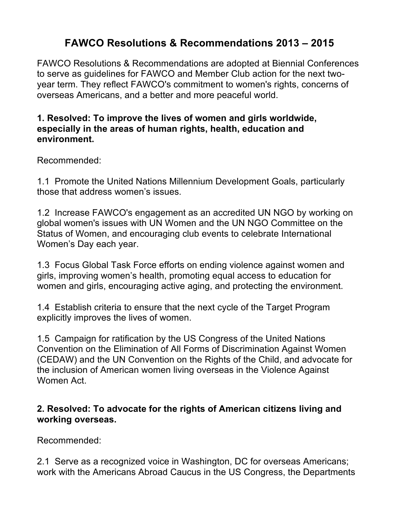# **FAWCO Resolutions & Recommendations 2013 – 2015**

FAWCO Resolutions & Recommendations are adopted at Biennial Conferences to serve as guidelines for FAWCO and Member Club action for the next twoyear term. They reflect FAWCO's commitment to women's rights, concerns of overseas Americans, and a better and more peaceful world.

#### **1. Resolved: To improve the lives of women and girls worldwide, especially in the areas of human rights, health, education and environment.**

Recommended:

1.1 Promote the United Nations Millennium Development Goals, particularly those that address women's issues.

1.2 Increase FAWCO's engagement as an accredited UN NGO by working on global women's issues with UN Women and the UN NGO Committee on the Status of Women, and encouraging club events to celebrate International Women's Day each year.

1.3 Focus Global Task Force efforts on ending violence against women and girls, improving women's health, promoting equal access to education for women and girls, encouraging active aging, and protecting the environment.

1.4 Establish criteria to ensure that the next cycle of the Target Program explicitly improves the lives of women.

1.5 Campaign for ratification by the US Congress of the United Nations Convention on the Elimination of All Forms of Discrimination Against Women (CEDAW) and the UN Convention on the Rights of the Child, and advocate for the inclusion of American women living overseas in the Violence Against Women Act.

## **2. Resolved: To advocate for the rights of American citizens living and working overseas.**

Recommended:

2.1 Serve as a recognized voice in Washington, DC for overseas Americans; work with the Americans Abroad Caucus in the US Congress, the Departments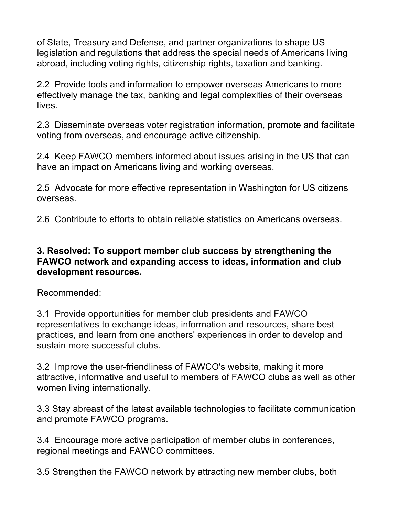of State, Treasury and Defense, and partner organizations to shape US legislation and regulations that address the special needs of Americans living abroad, including voting rights, citizenship rights, taxation and banking.

2.2 Provide tools and information to empower overseas Americans to more effectively manage the tax, banking and legal complexities of their overseas lives.

2.3 Disseminate overseas voter registration information, promote and facilitate voting from overseas, and encourage active citizenship.

2.4 Keep FAWCO members informed about issues arising in the US that can have an impact on Americans living and working overseas.

2.5 Advocate for more effective representation in Washington for US citizens overseas.

2.6 Contribute to efforts to obtain reliable statistics on Americans overseas.

#### **3. Resolved: To support member club success by strengthening the FAWCO network and expanding access to ideas, information and club development resources.**

Recommended:

3.1 Provide opportunities for member club presidents and FAWCO representatives to exchange ideas, information and resources, share best practices, and learn from one anothers' experiences in order to develop and sustain more successful clubs.

3.2 Improve the user-friendliness of FAWCO's website, making it more attractive, informative and useful to members of FAWCO clubs as well as other women living internationally.

3.3 Stay abreast of the latest available technologies to facilitate communication and promote FAWCO programs.

3.4 Encourage more active participation of member clubs in conferences, regional meetings and FAWCO committees.

3.5 Strengthen the FAWCO network by attracting new member clubs, both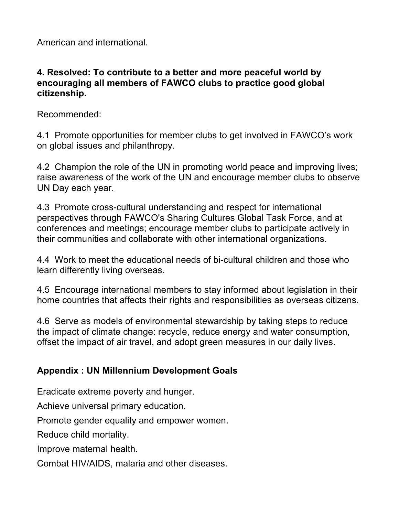American and international.

## **4. Resolved: To contribute to a better and more peaceful world by encouraging all members of FAWCO clubs to practice good global citizenship.**

Recommended:

4.1 Promote opportunities for member clubs to get involved in FAWCO's work on global issues and philanthropy.

4.2 Champion the role of the UN in promoting world peace and improving lives; raise awareness of the work of the UN and encourage member clubs to observe UN Day each year.

4.3 Promote cross-cultural understanding and respect for international perspectives through FAWCO's Sharing Cultures Global Task Force, and at conferences and meetings; encourage member clubs to participate actively in their communities and collaborate with other international organizations.

4.4 Work to meet the educational needs of bi-cultural children and those who learn differently living overseas.

4.5 Encourage international members to stay informed about legislation in their home countries that affects their rights and responsibilities as overseas citizens.

4.6 Serve as models of environmental stewardship by taking steps to reduce the impact of climate change: recycle, reduce energy and water consumption, offset the impact of air travel, and adopt green measures in our daily lives.

# **Appendix : UN Millennium Development Goals**

Eradicate extreme poverty and hunger.

Achieve universal primary education.

Promote gender equality and empower women.

Reduce child mortality.

Improve maternal health.

Combat HIV/AIDS, malaria and other diseases.